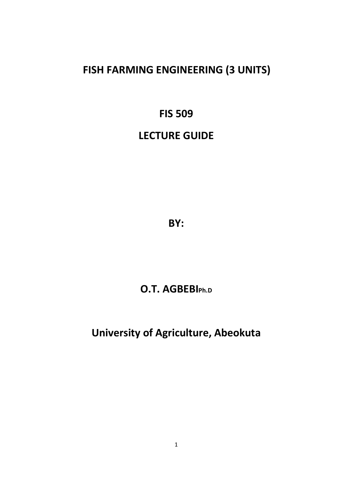# **FISH FARMING ENGINEERING (3 UNITS)**

## **FIS 509**

# **LECTURE GUIDE**

**BY:** 

## **O.T. AGBEBIPh.D**

## **University of Agriculture, Abeokuta**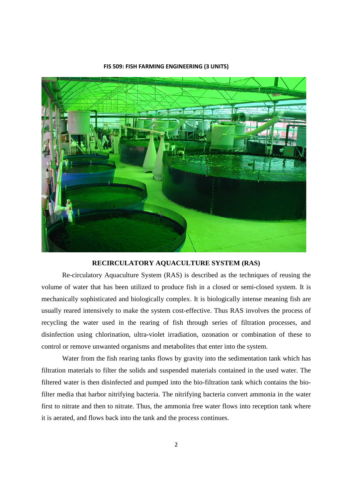

#### **FIS 509: FISH FARMING ENGINEERING (3 UNITS)**

## **RECIRCULATORY AQUACULTURE SYSTEM (RAS)**

 Re-circulatory Aquaculture System (RAS) is described as the techniques of reusing the volume of water that has been utilized to produce fish in a closed or semi-closed system. It is mechanically sophisticated and biologically complex. It is biologically intense meaning fish are usually reared intensively to make the system cost-effective. Thus RAS involves the process of recycling the water used in the rearing of fish through series of filtration processes, and disinfection using chlorination, ultra-violet irradiation, ozonation or combination of these to control or remove unwanted organisms and metabolites that enter into the system.

 Water from the fish rearing tanks flows by gravity into the sedimentation tank which has filtration materials to filter the solids and suspended materials contained in the used water. The filtered water is then disinfected and pumped into the bio-filtration tank which contains the biofilter media that harbor nitrifying bacteria. The nitrifying bacteria convert ammonia in the water first to nitrate and then to nitrate. Thus, the ammonia free water flows into reception tank where it is aerated, and flows back into the tank and the process continues.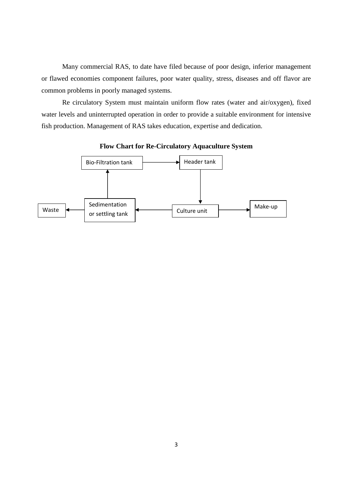Many commercial RAS, to date have filed because of poor design, inferior management or flawed economies component failures, poor water quality, stress, diseases and off flavor are common problems in poorly managed systems.

 Re circulatory System must maintain uniform flow rates (water and air/oxygen), fixed water levels and uninterrupted operation in order to provide a suitable environment for intensive fish production. Management of RAS takes education, expertise and dedication.



## **Flow Chart for Re-Circulatory Aquaculture System**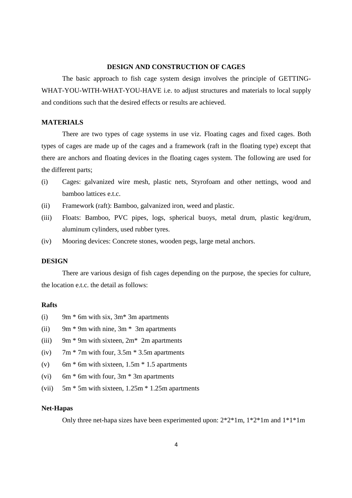#### **DESIGN AND CONSTRUCTION OF CAGES**

The basic approach to fish cage system design involves the principle of GETTING-WHAT-YOU-WITH-WHAT-YOU-HAVE i.e. to adjust structures and materials to local supply and conditions such that the desired effects or results are achieved.

## **MATERIALS**

 There are two types of cage systems in use viz. Floating cages and fixed cages. Both types of cages are made up of the cages and a framework (raft in the floating type) except that there are anchors and floating devices in the floating cages system. The following are used for the different parts;

- (i) Cages: galvanized wire mesh, plastic nets, Styrofoam and other nettings, wood and bamboo lattices e.t.c.
- (ii) Framework (raft): Bamboo, galvanized iron, weed and plastic.
- (iii) Floats: Bamboo, PVC pipes, logs, spherical buoys, metal drum, plastic keg/drum, aluminum cylinders, used rubber tyres.
- (iv) Mooring devices: Concrete stones, wooden pegs, large metal anchors.

#### **DESIGN**

There are various design of fish cages depending on the purpose, the species for culture, the location e.t.c. the detail as follows:

## **Rafts**

- (i) 9m  $*$  6m with six, 3m $*$  3m apartments
- (ii) 9m  $*$  9m with nine, 3m  $*$  3m apartments
- (iii) 9m  $*$  9m with sixteen, 2m $*$  2m apartments
- (iv)  $7m * 7m$  with four,  $3.5m * 3.5m$  apartments
- (v) 6m  $*$  6m with sixteen, 1.5m  $*$  1.5 apartments
- (vi) 6m  $*$  6m with four, 3m  $*$  3m apartments
- (vii) 5m \* 5m with sixteen, 1.25m \* 1.25m apartments

#### **Net-Hapas**

Only three net-hapa sizes have been experimented upon: 2\*2\*1m, 1\*2\*1m and 1\*1\*1m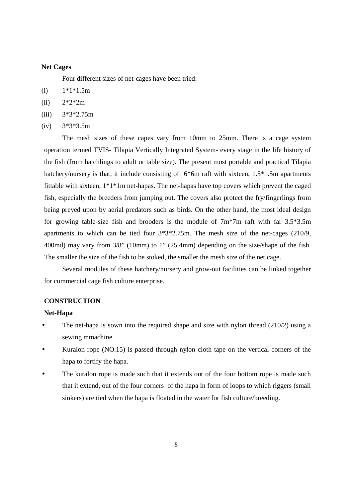### **Net Cages**

Four different sizes of net-cages have been tried:

- $(i)$  1\*1\*1.5m
- (ii)  $2*2*2m$
- $(iii)$  3\*3\*2.75m
- $(iv)$  3\*3\*3.5m

 The mesh sizes of these capes vary from 10mm to 25mm. There is a cage system operation termed TVIS- Tilapia Vertically Integrated System- every stage in the life history of the fish (from hatchlings to adult or table size). The present most portable and practical Tilapia hatchery/nursery is that, it include consisting of 6<sup>\*6</sup>m raft with sixteen, 1.5<sup>\*</sup>1.5m apartments fittable with sixteen, 1\*1\*1m net-hapas. The net-hapas have top covers which prevent the caged fish, especially the breeders from jumping out. The covers also protect the fry/fingerlings from being preyed upon by aerial predators such as birds. On the other hand, the most ideal design for growing table-size fish and brooders is the module of 7m\*7m raft with far 3.5\*3.5m apartments to which can be tied four 3\*3\*2.75m. The mesh size of the net-cages (210/9, 400md) may vary from 3/8" (10mm) to 1" (25.4mm) depending on the size/shape of the fish. The smaller the size of the fish to be stoked, the smaller the mesh size of the net cage.

 Several modules of these hatchery/nursery and grow-out facilities can be linked together for commercial cage fish culture enterprise.

## **CONSTRUCTION**

#### **Net-Hapa**

- The net-hapa is sown into the required shape and size with nylon thread  $(210/2)$  using a sewing mmachine.
- Kuralon rope (NO.15) is passed through nylon cloth tape on the vertical corners of the hapa to fortify the hapa.
- The kuralon rope is made such that it extends out of the four bottom rope is made such that it extend, out of the four corners of the hapa in form of loops to which riggers (small sinkers) are tied when the hapa is floated in the water for fish culture/breeding.